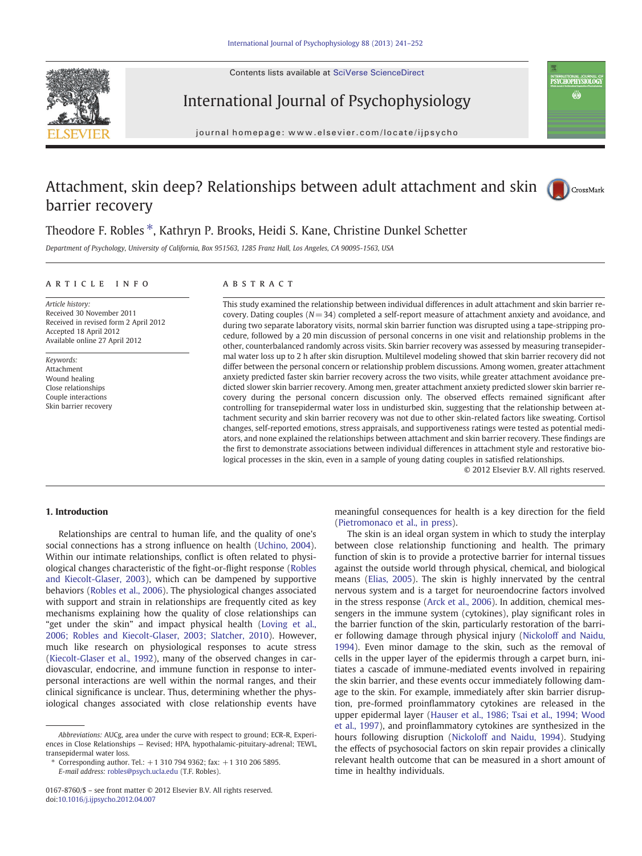Contents lists available at SciVerse ScienceDirect





journal homepage: www.elsevier.com/locate/ijpsycho

# Attachment, skin deep? Relationships between adult attachment and skin barrier recovery



nternational journal of<br>**PSYCHOPHYSIOLOGY** Ö

# Theodore F. Robles ⁎, Kathryn P. Brooks, Heidi S. Kane, Christine Dunkel Schetter

Department of Psychology, University of California, Box 951563, 1285 Franz Hall, Los Angeles, CA 90095-1563, USA

# article info abstract

Article history: Received 30 November 2011 Received in revised form 2 April 2012 Accepted 18 April 2012 Available online 27 April 2012

Keywords: Attachment Wound healing Close relationships Couple interactions Skin barrier recovery

This study examined the relationship between individual differences in adult attachment and skin barrier recovery. Dating couples  $(N= 34)$  completed a self-report measure of attachment anxiety and avoidance, and during two separate laboratory visits, normal skin barrier function was disrupted using a tape-stripping procedure, followed by a 20 min discussion of personal concerns in one visit and relationship problems in the other, counterbalanced randomly across visits. Skin barrier recovery was assessed by measuring transepidermal water loss up to 2 h after skin disruption. Multilevel modeling showed that skin barrier recovery did not differ between the personal concern or relationship problem discussions. Among women, greater attachment anxiety predicted faster skin barrier recovery across the two visits, while greater attachment avoidance predicted slower skin barrier recovery. Among men, greater attachment anxiety predicted slower skin barrier recovery during the personal concern discussion only. The observed effects remained significant after controlling for transepidermal water loss in undisturbed skin, suggesting that the relationship between attachment security and skin barrier recovery was not due to other skin-related factors like sweating. Cortisol changes, self-reported emotions, stress appraisals, and supportiveness ratings were tested as potential mediators, and none explained the relationships between attachment and skin barrier recovery. These findings are the first to demonstrate associations between individual differences in attachment style and restorative biological processes in the skin, even in a sample of young dating couples in satisfied relationships.

© 2012 Elsevier B.V. All rights reserved.

# 1. Introduction

Relationships are central to human life, and the quality of one's social connections has a strong influence on health [\(Uchino, 2004](#page-11-0)). Within our intimate relationships, conflict is often related to physiological changes characteristic of the fight-or-flight response ([Robles](#page-11-0) [and Kiecolt-Glaser, 2003\)](#page-11-0), which can be dampened by supportive behaviors ([Robles et al., 2006\)](#page-11-0). The physiological changes associated with support and strain in relationships are frequently cited as key mechanisms explaining how the quality of close relationships can "get under the skin" and impact physical health ([Loving et al.,](#page-10-0) [2006; Robles and Kiecolt-Glaser, 2003; Slatcher, 2010](#page-10-0)). However, much like research on physiological responses to acute stress [\(Kiecolt-Glaser et al., 1992](#page-10-0)), many of the observed changes in cardiovascular, endocrine, and immune function in response to interpersonal interactions are well within the normal ranges, and their clinical significance is unclear. Thus, determining whether the physiological changes associated with close relationship events have

meaningful consequences for health is a key direction for the field [\(Pietromonaco et al., in press](#page-10-0)).

The skin is an ideal organ system in which to study the interplay between close relationship functioning and health. The primary function of skin is to provide a protective barrier for internal tissues against the outside world through physical, chemical, and biological means ([Elias, 2005](#page-10-0)). The skin is highly innervated by the central nervous system and is a target for neuroendocrine factors involved in the stress response ([Arck et al., 2006](#page-10-0)). In addition, chemical messengers in the immune system (cytokines), play significant roles in the barrier function of the skin, particularly restoration of the barrier following damage through physical injury [\(Nickoloff and Naidu,](#page-10-0) [1994\)](#page-10-0). Even minor damage to the skin, such as the removal of cells in the upper layer of the epidermis through a carpet burn, initiates a cascade of immune-mediated events involved in repairing the skin barrier, and these events occur immediately following damage to the skin. For example, immediately after skin barrier disruption, pre-formed proinflammatory cytokines are released in the upper epidermal layer ([Hauser et al., 1986; Tsai et al., 1994; Wood](#page-10-0) [et al., 1997\)](#page-10-0), and proinflammatory cytokines are synthesized in the hours following disruption [\(Nickoloff and Naidu, 1994\)](#page-10-0). Studying the effects of psychosocial factors on skin repair provides a clinically relevant health outcome that can be measured in a short amount of time in healthy individuals.

Abbreviations: AUCg, area under the curve with respect to ground; ECR-R, Experiences in Close Relationships — Revised; HPA, hypothalamic-pituitary-adrenal; TEWL, transepidermal water loss.

<sup>⁎</sup> Corresponding author. Tel.: +1 310 794 9362; fax: +1 310 206 5895. E-mail address: [robles@psych.ucla.edu](mailto:robles@psych.ucla.edu) (T.F. Robles).

<sup>0167-8760/\$</sup> – see front matter © 2012 Elsevier B.V. All rights reserved. doi:[10.1016/j.ijpsycho.2012.04.007](http://dx.doi.org/10.1016/j.ijpsycho.2012.04.007)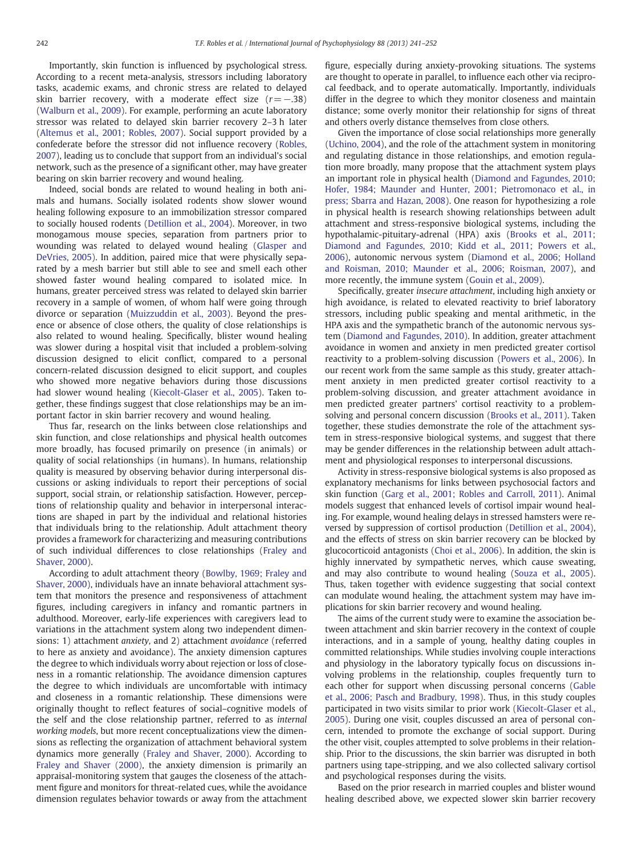Importantly, skin function is influenced by psychological stress. According to a recent meta-analysis, stressors including laboratory tasks, academic exams, and chronic stress are related to delayed skin barrier recovery, with a moderate effect size  $(r=-.38)$ [\(Walburn et al., 2009](#page-11-0)). For example, performing an acute laboratory stressor was related to delayed skin barrier recovery 2–3 h later [\(Altemus et al., 2001; Robles, 2007\)](#page-10-0). Social support provided by a confederate before the stressor did not influence recovery [\(Robles,](#page-11-0) [2007\)](#page-11-0), leading us to conclude that support from an individual's social network, such as the presence of a significant other, may have greater bearing on skin barrier recovery and wound healing.

Indeed, social bonds are related to wound healing in both animals and humans. Socially isolated rodents show slower wound healing following exposure to an immobilization stressor compared to socially housed rodents [\(Detillion et al., 2004](#page-10-0)). Moreover, in two monogamous mouse species, separation from partners prior to wounding was related to delayed wound healing ([Glasper and](#page-10-0) [DeVries, 2005](#page-10-0)). In addition, paired mice that were physically separated by a mesh barrier but still able to see and smell each other showed faster wound healing compared to isolated mice. In humans, greater perceived stress was related to delayed skin barrier recovery in a sample of women, of whom half were going through divorce or separation [\(Muizzuddin et al., 2003\)](#page-10-0). Beyond the presence or absence of close others, the quality of close relationships is also related to wound healing. Specifically, blister wound healing was slower during a hospital visit that included a problem-solving discussion designed to elicit conflict, compared to a personal concern-related discussion designed to elicit support, and couples who showed more negative behaviors during those discussions had slower wound healing [\(Kiecolt-Glaser et al., 2005\)](#page-10-0). Taken together, these findings suggest that close relationships may be an important factor in skin barrier recovery and wound healing.

Thus far, research on the links between close relationships and skin function, and close relationships and physical health outcomes more broadly, has focused primarily on presence (in animals) or quality of social relationships (in humans). In humans, relationship quality is measured by observing behavior during interpersonal discussions or asking individuals to report their perceptions of social support, social strain, or relationship satisfaction. However, perceptions of relationship quality and behavior in interpersonal interactions are shaped in part by the individual and relational histories that individuals bring to the relationship. Adult attachment theory provides a framework for characterizing and measuring contributions of such individual differences to close relationships [\(Fraley and](#page-10-0) [Shaver, 2000\)](#page-10-0).

According to adult attachment theory ([Bowlby, 1969; Fraley and](#page-10-0) [Shaver, 2000\)](#page-10-0), individuals have an innate behavioral attachment system that monitors the presence and responsiveness of attachment figures, including caregivers in infancy and romantic partners in adulthood. Moreover, early-life experiences with caregivers lead to variations in the attachment system along two independent dimensions: 1) attachment anxiety, and 2) attachment avoidance (referred to here as anxiety and avoidance). The anxiety dimension captures the degree to which individuals worry about rejection or loss of closeness in a romantic relationship. The avoidance dimension captures the degree to which individuals are uncomfortable with intimacy and closeness in a romantic relationship. These dimensions were originally thought to reflect features of social–cognitive models of the self and the close relationship partner, referred to as internal working models, but more recent conceptualizations view the dimensions as reflecting the organization of attachment behavioral system dynamics more generally [\(Fraley and Shaver, 2000\)](#page-10-0). According to [Fraley and Shaver \(2000\),](#page-10-0) the anxiety dimension is primarily an appraisal-monitoring system that gauges the closeness of the attachment figure and monitors for threat-related cues, while the avoidance dimension regulates behavior towards or away from the attachment figure, especially during anxiety-provoking situations. The systems are thought to operate in parallel, to influence each other via reciprocal feedback, and to operate automatically. Importantly, individuals differ in the degree to which they monitor closeness and maintain distance; some overly monitor their relationship for signs of threat and others overly distance themselves from close others.

Given the importance of close social relationships more generally [\(Uchino, 2004](#page-11-0)), and the role of the attachment system in monitoring and regulating distance in those relationships, and emotion regulation more broadly, many propose that the attachment system plays an important role in physical health ([Diamond and Fagundes, 2010;](#page-10-0) [Hofer, 1984; Maunder and Hunter, 2001; Pietromonaco et al., in](#page-10-0) [press; Sbarra and Hazan, 2008](#page-10-0)). One reason for hypothesizing a role in physical health is research showing relationships between adult attachment and stress-responsive biological systems, including the hypothalamic-pituitary-adrenal (HPA) axis ([Brooks et al., 2011;](#page-10-0) [Diamond and Fagundes, 2010; Kidd et al., 2011; Powers et al.,](#page-10-0) [2006\)](#page-10-0), autonomic nervous system ([Diamond et al., 2006; Holland](#page-10-0) [and Roisman, 2010; Maunder et al., 2006; Roisman, 2007](#page-10-0)), and more recently, the immune system ([Gouin et al., 2009\)](#page-10-0).

Specifically, greater insecure attachment, including high anxiety or high avoidance, is related to elevated reactivity to brief laboratory stressors, including public speaking and mental arithmetic, in the HPA axis and the sympathetic branch of the autonomic nervous system [\(Diamond and Fagundes, 2010\)](#page-10-0). In addition, greater attachment avoidance in women and anxiety in men predicted greater cortisol reactivity to a problem-solving discussion [\(Powers et al., 2006\)](#page-10-0). In our recent work from the same sample as this study, greater attachment anxiety in men predicted greater cortisol reactivity to a problem-solving discussion, and greater attachment avoidance in men predicted greater partners' cortisol reactivity to a problemsolving and personal concern discussion [\(Brooks et al., 2011](#page-10-0)). Taken together, these studies demonstrate the role of the attachment system in stress-responsive biological systems, and suggest that there may be gender differences in the relationship between adult attachment and physiological responses to interpersonal discussions.

Activity in stress-responsive biological systems is also proposed as explanatory mechanisms for links between psychosocial factors and skin function [\(Garg et al., 2001; Robles and Carroll, 2011](#page-10-0)). Animal models suggest that enhanced levels of cortisol impair wound healing. For example, wound healing delays in stressed hamsters were reversed by suppression of cortisol production ([Detillion et al., 2004](#page-10-0)), and the effects of stress on skin barrier recovery can be blocked by glucocorticoid antagonists [\(Choi et al., 2006\)](#page-10-0). In addition, the skin is highly innervated by sympathetic nerves, which cause sweating, and may also contribute to wound healing [\(Souza et al., 2005](#page-11-0)). Thus, taken together with evidence suggesting that social context can modulate wound healing, the attachment system may have implications for skin barrier recovery and wound healing.

The aims of the current study were to examine the association between attachment and skin barrier recovery in the context of couple interactions, and in a sample of young, healthy dating couples in committed relationships. While studies involving couple interactions and physiology in the laboratory typically focus on discussions involving problems in the relationship, couples frequently turn to each other for support when discussing personal concerns [\(Gable](#page-10-0) [et al., 2006; Pasch and Bradbury, 1998](#page-10-0)). Thus, in this study couples participated in two visits similar to prior work [\(Kiecolt-Glaser et al.,](#page-10-0) [2005\)](#page-10-0). During one visit, couples discussed an area of personal concern, intended to promote the exchange of social support. During the other visit, couples attempted to solve problems in their relationship. Prior to the discussions, the skin barrier was disrupted in both partners using tape-stripping, and we also collected salivary cortisol and psychological responses during the visits.

Based on the prior research in married couples and blister wound healing described above, we expected slower skin barrier recovery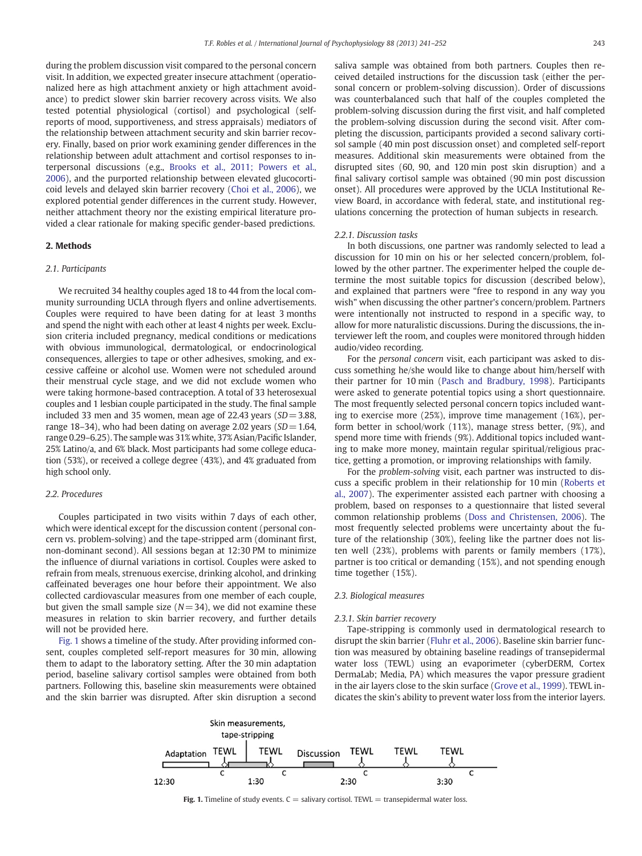during the problem discussion visit compared to the personal concern visit. In addition, we expected greater insecure attachment (operationalized here as high attachment anxiety or high attachment avoidance) to predict slower skin barrier recovery across visits. We also tested potential physiological (cortisol) and psychological (selfreports of mood, supportiveness, and stress appraisals) mediators of the relationship between attachment security and skin barrier recovery. Finally, based on prior work examining gender differences in the relationship between adult attachment and cortisol responses to interpersonal discussions (e.g., [Brooks et al., 2011; Powers et al.,](#page-10-0) [2006\)](#page-10-0), and the purported relationship between elevated glucocorticoid levels and delayed skin barrier recovery ([Choi et al., 2006\)](#page-10-0), we explored potential gender differences in the current study. However, neither attachment theory nor the existing empirical literature provided a clear rationale for making specific gender-based predictions.

### 2. Methods

### 2.1. Participants

We recruited 34 healthy couples aged 18 to 44 from the local community surrounding UCLA through flyers and online advertisements. Couples were required to have been dating for at least 3 months and spend the night with each other at least 4 nights per week. Exclusion criteria included pregnancy, medical conditions or medications with obvious immunological, dermatological, or endocrinological consequences, allergies to tape or other adhesives, smoking, and excessive caffeine or alcohol use. Women were not scheduled around their menstrual cycle stage, and we did not exclude women who were taking hormone-based contraception. A total of 33 heterosexual couples and 1 lesbian couple participated in the study. The final sample included 33 men and 35 women, mean age of 22.43 years ( $SD = 3.88$ , range 18–34), who had been dating on average 2.02 years ( $SD=1.64$ , range 0.29–6.25). The sample was 31% white, 37% Asian/Pacific Islander, 25% Latino/a, and 6% black. Most participants had some college education (53%), or received a college degree (43%), and 4% graduated from high school only.

#### 2.2. Procedures

Couples participated in two visits within 7 days of each other, which were identical except for the discussion content (personal concern vs. problem-solving) and the tape-stripped arm (dominant first, non-dominant second). All sessions began at 12:30 PM to minimize the influence of diurnal variations in cortisol. Couples were asked to refrain from meals, strenuous exercise, drinking alcohol, and drinking caffeinated beverages one hour before their appointment. We also collected cardiovascular measures from one member of each couple, but given the small sample size  $(N= 34)$ , we did not examine these measures in relation to skin barrier recovery, and further details will not be provided here.

Fig. 1 shows a timeline of the study. After providing informed consent, couples completed self-report measures for 30 min, allowing them to adapt to the laboratory setting. After the 30 min adaptation period, baseline salivary cortisol samples were obtained from both partners. Following this, baseline skin measurements were obtained and the skin barrier was disrupted. After skin disruption a second saliva sample was obtained from both partners. Couples then received detailed instructions for the discussion task (either the personal concern or problem-solving discussion). Order of discussions was counterbalanced such that half of the couples completed the problem-solving discussion during the first visit, and half completed the problem-solving discussion during the second visit. After completing the discussion, participants provided a second salivary cortisol sample (40 min post discussion onset) and completed self-report measures. Additional skin measurements were obtained from the disrupted sites (60, 90, and 120 min post skin disruption) and a final salivary cortisol sample was obtained (90 min post discussion onset). All procedures were approved by the UCLA Institutional Review Board, in accordance with federal, state, and institutional regulations concerning the protection of human subjects in research.

#### 2.2.1. Discussion tasks

In both discussions, one partner was randomly selected to lead a discussion for 10 min on his or her selected concern/problem, followed by the other partner. The experimenter helped the couple determine the most suitable topics for discussion (described below), and explained that partners were "free to respond in any way you wish" when discussing the other partner's concern/problem. Partners were intentionally not instructed to respond in a specific way, to allow for more naturalistic discussions. During the discussions, the interviewer left the room, and couples were monitored through hidden audio/video recording.

For the personal concern visit, each participant was asked to discuss something he/she would like to change about him/herself with their partner for 10 min ([Pasch and Bradbury, 1998](#page-10-0)). Participants were asked to generate potential topics using a short questionnaire. The most frequently selected personal concern topics included wanting to exercise more (25%), improve time management (16%), perform better in school/work (11%), manage stress better, (9%), and spend more time with friends (9%). Additional topics included wanting to make more money, maintain regular spiritual/religious practice, getting a promotion, or improving relationships with family.

For the problem-solving visit, each partner was instructed to discuss a specific problem in their relationship for 10 min ([Roberts et](#page-11-0) [al., 2007\)](#page-11-0). The experimenter assisted each partner with choosing a problem, based on responses to a questionnaire that listed several common relationship problems ([Doss and Christensen, 2006](#page-10-0)). The most frequently selected problems were uncertainty about the future of the relationship (30%), feeling like the partner does not listen well (23%), problems with parents or family members (17%), partner is too critical or demanding (15%), and not spending enough time together (15%).

#### 2.3. Biological measures

#### 2.3.1. Skin barrier recovery

Tape-stripping is commonly used in dermatological research to disrupt the skin barrier ([Fluhr et al., 2006\)](#page-10-0). Baseline skin barrier function was measured by obtaining baseline readings of transepidermal water loss (TEWL) using an evaporimeter (cyberDERM, Cortex DermaLab; Media, PA) which measures the vapor pressure gradient in the air layers close to the skin surface ([Grove et al., 1999](#page-10-0)). TEWL indicates the skin's ability to prevent water loss from the interior layers.



Fig. 1. Timeline of study events.  $C =$  salivary cortisol. TEWL = transepidermal water loss.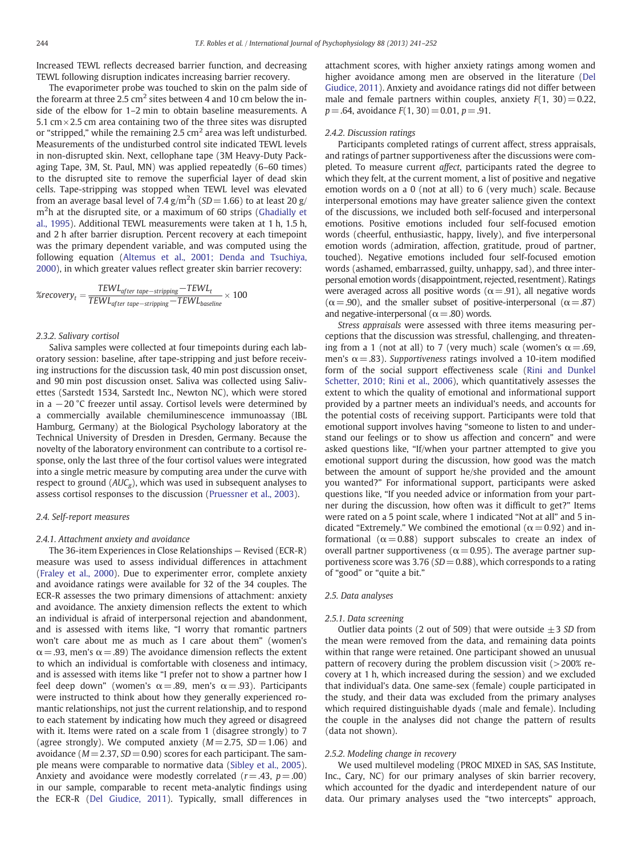Increased TEWL reflects decreased barrier function, and decreasing TEWL following disruption indicates increasing barrier recovery.

The evaporimeter probe was touched to skin on the palm side of the forearm at three 2.5  $\text{cm}^2$  sites between 4 and 10 cm below the inside of the elbow for 1–2 min to obtain baseline measurements. A 5.1  $\text{cm} \times 2.5$  cm area containing two of the three sites was disrupted or "stripped," while the remaining 2.5  $\text{cm}^2$  area was left undisturbed. Measurements of the undisturbed control site indicated TEWL levels in non-disrupted skin. Next, cellophane tape (3M Heavy-Duty Packaging Tape, 3M, St. Paul, MN) was applied repeatedly (6–60 times) to the disrupted site to remove the superficial layer of dead skin cells. Tape-stripping was stopped when TEWL level was elevated from an average basal level of 7.4 g/m<sup>2</sup>h (SD = 1.66) to at least 20 g/ m<sup>2</sup>h at the disrupted site, or a maximum of 60 strips [\(Ghadially et](#page-10-0) [al., 1995\)](#page-10-0). Additional TEWL measurements were taken at 1 h, 1.5 h, and 2 h after barrier disruption. Percent recovery at each timepoint was the primary dependent variable, and was computed using the following equation [\(Altemus et al., 2001; Denda and Tsuchiya,](#page-10-0) [2000\)](#page-10-0), in which greater values reflect greater skin barrier recovery:

$$
\% recovery_t = \frac{TEWL_{after\ tape-stripping} - TEWL_t}{TEWL_{after\ tape-stripping} - TEWL_{baseline}} \times 100
$$

#### 2.3.2. Salivary cortisol

Saliva samples were collected at four timepoints during each laboratory session: baseline, after tape-stripping and just before receiving instructions for the discussion task, 40 min post discussion onset, and 90 min post discussion onset. Saliva was collected using Salivettes (Sarstedt 1534, Sarstedt Inc., Newton NC), which were stored in a −20 °C freezer until assay. Cortisol levels were determined by a commercially available chemiluminescence immunoassay (IBL Hamburg, Germany) at the Biological Psychology laboratory at the Technical University of Dresden in Dresden, Germany. Because the novelty of the laboratory environment can contribute to a cortisol response, only the last three of the four cortisol values were integrated into a single metric measure by computing area under the curve with respect to ground  $(AUC<sub>g</sub>)$ , which was used in subsequent analyses to assess cortisol responses to the discussion [\(Pruessner et al., 2003\)](#page-10-0).

#### 2.4. Self-report measures

#### 2.4.1. Attachment anxiety and avoidance

The 36-item Experiences in Close Relationships — Revised (ECR-R) measure was used to assess individual differences in attachment [\(Fraley et al., 2000\)](#page-10-0). Due to experimenter error, complete anxiety and avoidance ratings were available for 32 of the 34 couples. The ECR-R assesses the two primary dimensions of attachment: anxiety and avoidance. The anxiety dimension reflects the extent to which an individual is afraid of interpersonal rejection and abandonment, and is assessed with items like, "I worry that romantic partners won't care about me as much as I care about them" (women's  $\alpha$  = .93, men's  $\alpha$  = .89) The avoidance dimension reflects the extent to which an individual is comfortable with closeness and intimacy, and is assessed with items like "I prefer not to show a partner how I feel deep down" (women's  $\alpha = .89$ , men's  $\alpha = .93$ ). Participants were instructed to think about how they generally experienced romantic relationships, not just the current relationship, and to respond to each statement by indicating how much they agreed or disagreed with it. Items were rated on a scale from 1 (disagree strongly) to 7 (agree strongly). We computed anxiety  $(M= 2.75, SD = 1.06)$  and avoidance ( $M = 2.37$ ,  $SD = 0.90$ ) scores for each participant. The sample means were comparable to normative data ([Sibley et al., 2005](#page-11-0)). Anxiety and avoidance were modestly correlated  $(r=.43, p=.00)$ in our sample, comparable to recent meta-analytic findings using the ECR-R [\(Del Giudice, 2011\)](#page-10-0). Typically, small differences in

attachment scores, with higher anxiety ratings among women and higher avoidance among men are observed in the literature ([Del](#page-10-0) [Giudice, 2011](#page-10-0)). Anxiety and avoidance ratings did not differ between male and female partners within couples, anxiety  $F(1, 30) = 0.22$ ,  $p = .64$ , avoidance  $F(1, 30) = 0.01$ ,  $p = .91$ .

#### 2.4.2. Discussion ratings

Participants completed ratings of current affect, stress appraisals, and ratings of partner supportiveness after the discussions were completed. To measure current affect, participants rated the degree to which they felt, at the current moment, a list of positive and negative emotion words on a 0 (not at all) to 6 (very much) scale. Because interpersonal emotions may have greater salience given the context of the discussions, we included both self-focused and interpersonal emotions. Positive emotions included four self-focused emotion words (cheerful, enthusiastic, happy, lively), and five interpersonal emotion words (admiration, affection, gratitude, proud of partner, touched). Negative emotions included four self-focused emotion words (ashamed, embarrassed, guilty, unhappy, sad), and three interpersonal emotion words (disappointment, rejected, resentment). Ratings were averaged across all positive words ( $\alpha$  = .91), all negative words  $(\alpha = .90)$ , and the smaller subset of positive-interpersonal  $(\alpha = .87)$ and negative-interpersonal ( $\alpha$  = .80) words.

Stress appraisals were assessed with three items measuring perceptions that the discussion was stressful, challenging, and threatening from a 1 (not at all) to 7 (very much) scale (women's  $\alpha = .69$ , men's  $\alpha$  = .83). Supportiveness ratings involved a 10-item modified form of the social support effectiveness scale [\(Rini and Dunkel](#page-11-0) [Schetter, 2010; Rini et al., 2006](#page-11-0)), which quantitatively assesses the extent to which the quality of emotional and informational support provided by a partner meets an individual's needs, and accounts for the potential costs of receiving support. Participants were told that emotional support involves having "someone to listen to and understand our feelings or to show us affection and concern" and were asked questions like, "If/when your partner attempted to give you emotional support during the discussion, how good was the match between the amount of support he/she provided and the amount you wanted?" For informational support, participants were asked questions like, "If you needed advice or information from your partner during the discussion, how often was it difficult to get?" Items were rated on a 5 point scale, where 1 indicated "Not at all" and 5 indicated "Extremely." We combined the emotional ( $\alpha$  = 0.92) and informational ( $\alpha$  = 0.88) support subscales to create an index of overall partner supportiveness ( $\alpha$  = 0.95). The average partner supportiveness score was 3.76 ( $SD = 0.88$ ), which corresponds to a rating of "good" or "quite a bit."

#### 2.5. Data analyses

#### 2.5.1. Data screening

Outlier data points (2 out of 509) that were outside  $\pm$  3 SD from the mean were removed from the data, and remaining data points within that range were retained. One participant showed an unusual pattern of recovery during the problem discussion visit  $(>200\%)$  recovery at 1 h, which increased during the session) and we excluded that individual's data. One same-sex (female) couple participated in the study, and their data was excluded from the primary analyses which required distinguishable dyads (male and female). Including the couple in the analyses did not change the pattern of results (data not shown).

## 2.5.2. Modeling change in recovery

We used multilevel modeling (PROC MIXED in SAS, SAS Institute, Inc., Cary, NC) for our primary analyses of skin barrier recovery, which accounted for the dyadic and interdependent nature of our data. Our primary analyses used the "two intercepts" approach,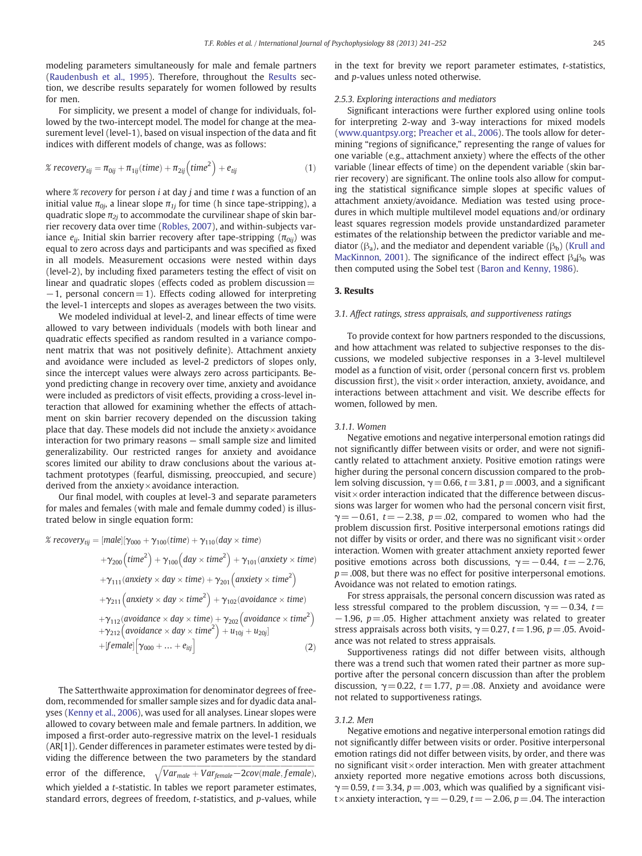<span id="page-4-0"></span>modeling parameters simultaneously for male and female partners [\(Raudenbush et al., 1995](#page-10-0)). Therefore, throughout the Results section, we describe results separately for women followed by results for men.

For simplicity, we present a model of change for individuals, followed by the two-intercept model. The model for change at the measurement level (level-1), based on visual inspection of the data and fit indices with different models of change, was as follows:

$$
\mathscr{E} \text{ recovery}_{tij} = \pi_{0ij} + \pi_{1ij}(\text{time}) + \pi_{2ij}(\text{time}^2) + e_{tij} \tag{1}
$$

where  $\mathscr X$  recovery for person *i* at day *j* and time *t* was a function of an initial value  $\pi_{0j}$ , a linear slope  $\pi_{1j}$  for time (h since tape-stripping), a quadratic slope  $\pi_{2i}$  to accommodate the curvilinear shape of skin barrier recovery data over time [\(Robles, 2007\)](#page-11-0), and within-subjects variance  $e_{ii}$ . Initial skin barrier recovery after tape-stripping  $(\pi_{0ii})$  was equal to zero across days and participants and was specified as fixed in all models. Measurement occasions were nested within days (level-2), by including fixed parameters testing the effect of visit on linear and quadratic slopes (effects coded as problem discussion $=$  $-1$ , personal concern = 1). Effects coding allowed for interpreting the level-1 intercepts and slopes as averages between the two visits.

We modeled individual at level-2, and linear effects of time were allowed to vary between individuals (models with both linear and quadratic effects specified as random resulted in a variance component matrix that was not positively definite). Attachment anxiety and avoidance were included as level-2 predictors of slopes only, since the intercept values were always zero across participants. Beyond predicting change in recovery over time, anxiety and avoidance were included as predictors of visit effects, providing a cross-level interaction that allowed for examining whether the effects of attachment on skin barrier recovery depended on the discussion taking place that day. These models did not include the anxiety $\times$  avoidance interaction for two primary reasons — small sample size and limited generalizability. Our restricted ranges for anxiety and avoidance scores limited our ability to draw conclusions about the various attachment prototypes (fearful, dismissing, preoccupied, and secure) derived from the anxiety $\times$  avoidance interaction.

Our final model, with couples at level-3 and separate parameters for males and females (with male and female dummy coded) is illustrated below in single equation form:

$$
\mathscr{X} \text{ recovery}_{tij} = [male][\gamma_{000} + \gamma_{100}(time) + \gamma_{110}(day \times time) \n+ \gamma_{200}(time^2) + \gamma_{100}(day \times time^2) + \gamma_{101}(anxiety \times time) \n+ \gamma_{111}(anxiety \times day \times time) + \gamma_{201}(anxiety \times time^2) \n+ \gamma_{211}(anxiety \times day \times time^2) + \gamma_{102}(avoidance \times time) \n+ \gamma_{112}(avoidance \times day \times time) + \gamma_{202}(avoidance \times time^2) \n+ \gamma_{212}(avoidance \times day \times time^2) + u_{10j} + u_{20j}] \n+ [female] [\gamma_{000} + ... + e_{ij}]
$$
\n(2)

The Satterthwaite approximation for denominator degrees of freedom, recommended for smaller sample sizes and for dyadic data analyses [\(Kenny et al., 2006](#page-10-0)), was used for all analyses. Linear slopes were allowed to covary between male and female partners. In addition, we imposed a first-order auto-regressive matrix on the level-1 residuals (AR[1]). Gender differences in parameter estimates were tested by dividing the difference between the two parameters by the standard error of the difference,  $\sqrt{Var_{male} + Var_{female} - 2cov(male, female)}$ , which yielded a *t*-statistic. In tables we report parameter estimates, standard errors, degrees of freedom, t-statistics, and p-values, while in the text for brevity we report parameter estimates, t-statistics, and p-values unless noted otherwise.

#### 2.5.3. Exploring interactions and mediators

Significant interactions were further explored using online tools for interpreting 2-way and 3-way interactions for mixed models [\(www.quantpsy.org;](http://www.quantpsy.org) [Preacher et al., 2006](#page-10-0)). The tools allow for determining "regions of significance," representing the range of values for one variable (e.g., attachment anxiety) where the effects of the other variable (linear effects of time) on the dependent variable (skin barrier recovery) are significant. The online tools also allow for computing the statistical significance simple slopes at specific values of attachment anxiety/avoidance. Mediation was tested using procedures in which multiple multilevel model equations and/or ordinary least squares regression models provide unstandardized parameter estimates of the relationship between the predictor variable and mediator ( $\beta_a$ ), and the mediator and dependent variable ( $\beta_b$ ) [\(Krull and](#page-10-0) [MacKinnon, 2001](#page-10-0)). The significance of the indirect effect  $\beta_2 \beta_2$  was then computed using the Sobel test [\(Baron and Kenny, 1986](#page-10-0)).

#### 3. Results

#### 3.1. Affect ratings, stress appraisals, and supportiveness ratings

To provide context for how partners responded to the discussions, and how attachment was related to subjective responses to the discussions, we modeled subjective responses in a 3-level multilevel model as a function of visit, order (personal concern first vs. problem discussion first), the visit $\times$  order interaction, anxiety, avoidance, and interactions between attachment and visit. We describe effects for women, followed by men.

#### 3.1.1. Women

Negative emotions and negative interpersonal emotion ratings did not significantly differ between visits or order, and were not significantly related to attachment anxiety. Positive emotion ratings were higher during the personal concern discussion compared to the problem solving discussion,  $\gamma = 0.66$ ,  $t = 3.81$ ,  $p = .0003$ , and a significant  $v$ isit $\times$  order interaction indicated that the difference between discussions was larger for women who had the personal concern visit first,  $\gamma =$  −0.61, t = −2.38, p = .02, compared to women who had the problem discussion first. Positive interpersonal emotions ratings did not differ by visits or order, and there was no significant visit  $\times$  order interaction. Women with greater attachment anxiety reported fewer positive emotions across both discussions,  $\gamma = -0.44$ ,  $t = -2.76$ ,  $p = 0.008$ , but there was no effect for positive interpersonal emotions. Avoidance was not related to emotion ratings.

For stress appraisals, the personal concern discussion was rated as less stressful compared to the problem discussion,  $\gamma = -0.34$ , t=  $-1.96$ ,  $p = .05$ . Higher attachment anxiety was related to greater stress appraisals across both visits,  $\gamma = 0.27$ ,  $t = 1.96$ ,  $p = .05$ . Avoidance was not related to stress appraisals.

Supportiveness ratings did not differ between visits, although there was a trend such that women rated their partner as more supportive after the personal concern discussion than after the problem discussion,  $\gamma = 0.22$ ,  $t = 1.77$ ,  $p = .08$ . Anxiety and avoidance were not related to supportiveness ratings.

#### 3.1.2. Men

Negative emotions and negative interpersonal emotion ratings did not significantly differ between visits or order. Positive interpersonal emotion ratings did not differ between visits, by order, and there was no significant visit $\times$  order interaction. Men with greater attachment anxiety reported more negative emotions across both discussions,  $\gamma = 0.59$ ,  $t = 3.34$ ,  $p = .003$ , which was qualified by a significant visit × anxiety interaction,  $\gamma = -0.29$ ,  $t = -2.06$ ,  $p = .04$ . The interaction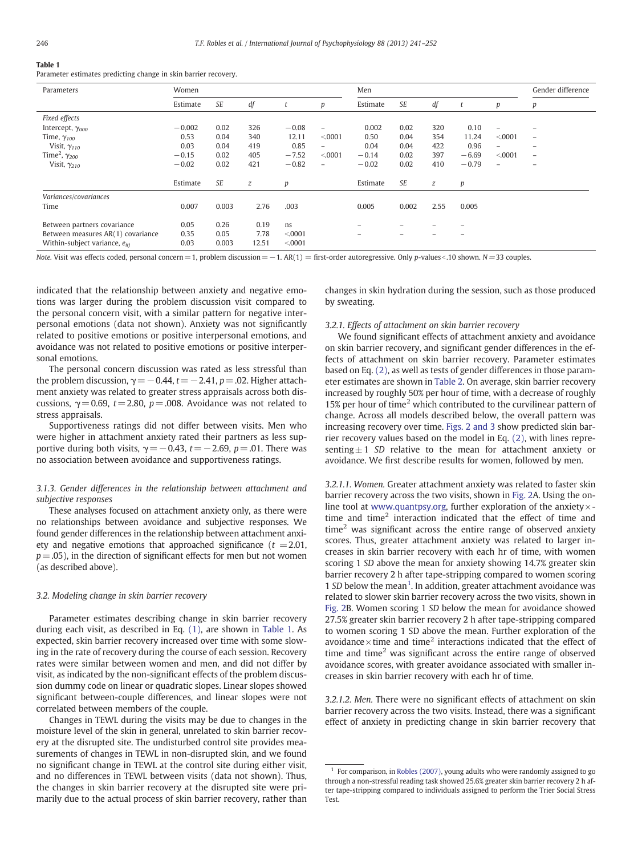#### Table 1

Parameter estimates predicting change in skin barrier recovery.

| Parameters                                | Women    | Men       |       |         |                          |          | Gender difference |      |         |                          |                          |
|-------------------------------------------|----------|-----------|-------|---------|--------------------------|----------|-------------------|------|---------|--------------------------|--------------------------|
|                                           | Estimate | <b>SE</b> | df    | ι       | p                        | Estimate | <b>SE</b>         | df   |         | p                        | p                        |
| Fixed effects                             |          |           |       |         |                          |          |                   |      |         |                          |                          |
| Intercept, $\gamma_{000}$                 | $-0.002$ | 0.02      | 326   | $-0.08$ | $\overline{\phantom{a}}$ | 0.002    | 0.02              | 320  | 0.10    | $\overline{\phantom{m}}$ |                          |
| Time, $\gamma_{100}$                      | 0.53     | 0.04      | 340   | 12.11   | < 0.0001                 | 0.50     | 0.04              | 354  | 11.24   | < 0001                   | $\overline{\phantom{0}}$ |
| Visit, $\gamma_{110}$                     | 0.03     | 0.04      | 419   | 0.85    | -                        | 0.04     | 0.04              | 422  | 0.96    | -                        | ۰                        |
| Time <sup>2</sup> , $\gamma_{200}$        | $-0.15$  | 0.02      | 405   | $-7.52$ | < 0001                   | $-0.14$  | 0.02              | 397  | $-6.69$ | < 0001                   | $\overline{\phantom{a}}$ |
| Visit, $\gamma_{210}$                     | $-0.02$  | 0.02      | 421   | $-0.82$ | $\overline{\phantom{0}}$ | $-0.02$  | 0.02              | 410  | $-0.79$ | -                        | ۰                        |
|                                           | Estimate | <b>SE</b> | z     | p       |                          | Estimate | <b>SE</b>         | Z    | p       |                          |                          |
| Variances/covariances                     |          |           |       |         |                          |          |                   |      |         |                          |                          |
| Time                                      | 0.007    | 0.003     | 2.76  | .003    |                          | 0.005    | 0.002             | 2.55 | 0.005   |                          |                          |
| Between partners covariance               | 0.05     | 0.26      | 0.19  | ns      |                          |          |                   |      |         |                          |                          |
| Between measures AR(1) covariance         | 0.35     | 0.05      | 7.78  | < 0001  |                          |          |                   |      |         |                          |                          |
| Within-subject variance, e <sub>iti</sub> | 0.03     | 0.003     | 12.51 | < 0001  |                          |          |                   |      |         |                          |                          |

Note. Visit was effects coded, personal concern=1, problem discussion= $-1$ . AR(1) = first-order autoregressive. Only p-values<10 shown. N=33 couples.

indicated that the relationship between anxiety and negative emotions was larger during the problem discussion visit compared to the personal concern visit, with a similar pattern for negative interpersonal emotions (data not shown). Anxiety was not significantly related to positive emotions or positive interpersonal emotions, and avoidance was not related to positive emotions or positive interpersonal emotions.

The personal concern discussion was rated as less stressful than the problem discussion,  $\gamma =$  − 0.44, t = −2.41, p = .02. Higher attachment anxiety was related to greater stress appraisals across both discussions,  $\gamma = 0.69$ ,  $t = 2.80$ ,  $p = .008$ . Avoidance was not related to stress appraisals.

Supportiveness ratings did not differ between visits. Men who were higher in attachment anxiety rated their partners as less supportive during both visits,  $\gamma = -0.43$ ,  $t = -2.69$ ,  $p = .01$ . There was no association between avoidance and supportiveness ratings.

## 3.1.3. Gender differences in the relationship between attachment and subjective responses

These analyses focused on attachment anxiety only, as there were no relationships between avoidance and subjective responses. We found gender differences in the relationship between attachment anxiety and negative emotions that approached significance  $(t = 2.01,$  $p = .05$ ), in the direction of significant effects for men but not women (as described above).

#### 3.2. Modeling change in skin barrier recovery

Parameter estimates describing change in skin barrier recovery during each visit, as described in Eq. [\(1\)](#page-4-0), are shown in Table 1. As expected, skin barrier recovery increased over time with some slowing in the rate of recovery during the course of each session. Recovery rates were similar between women and men, and did not differ by visit, as indicated by the non-significant effects of the problem discussion dummy code on linear or quadratic slopes. Linear slopes showed significant between-couple differences, and linear slopes were not correlated between members of the couple.

Changes in TEWL during the visits may be due to changes in the moisture level of the skin in general, unrelated to skin barrier recovery at the disrupted site. The undisturbed control site provides measurements of changes in TEWL in non-disrupted skin, and we found no significant change in TEWL at the control site during either visit, and no differences in TEWL between visits (data not shown). Thus, the changes in skin barrier recovery at the disrupted site were primarily due to the actual process of skin barrier recovery, rather than changes in skin hydration during the session, such as those produced by sweating.

#### 3.2.1. Effects of attachment on skin barrier recovery

We found significant effects of attachment anxiety and avoidance on skin barrier recovery, and significant gender differences in the effects of attachment on skin barrier recovery. Parameter estimates based on Eq. [\(2\),](#page-4-0) as well as tests of gender differences in those parameter estimates are shown in [Table 2](#page-6-0). On average, skin barrier recovery increased by roughly 50% per hour of time, with a decrease of roughly 15% per hour of time<sup>2</sup> which contributed to the curvilinear pattern of change. Across all models described below, the overall pattern was increasing recovery over time. [Figs. 2 and 3](#page-6-0) show predicted skin barrier recovery values based on the model in Eq. [\(2\),](#page-4-0) with lines representing $\pm$ 1 SD relative to the mean for attachment anxiety or avoidance. We first describe results for women, followed by men.

3.2.1.1. Women. Greater attachment anxiety was related to faster skin barrier recovery across the two visits, shown in [Fig. 2A](#page-6-0). Using the online tool at [www.quantpsy.org,](http://www.quantpsy.org) further exploration of the anxiety $\times$ time and time<sup>2</sup> interaction indicated that the effect of time and  $time<sup>2</sup>$  was significant across the entire range of observed anxiety scores. Thus, greater attachment anxiety was related to larger increases in skin barrier recovery with each hr of time, with women scoring 1 SD above the mean for anxiety showing 14.7% greater skin barrier recovery 2 h after tape-stripping compared to women scoring 1 SD below the mean<sup>1</sup>. In addition, greater attachment avoidance was related to slower skin barrier recovery across the two visits, shown in [Fig. 2](#page-6-0)B. Women scoring 1 SD below the mean for avoidance showed 27.5% greater skin barrier recovery 2 h after tape-stripping compared to women scoring 1 SD above the mean. Further exploration of the avoidance  $\times$  time and time<sup>2</sup> interactions indicated that the effect of time and time<sup>2</sup> was significant across the entire range of observed avoidance scores, with greater avoidance associated with smaller increases in skin barrier recovery with each hr of time.

3.2.1.2. Men. There were no significant effects of attachment on skin barrier recovery across the two visits. Instead, there was a significant effect of anxiety in predicting change in skin barrier recovery that

<sup>1</sup> For comparison, in [Robles \(2007\)](#page-11-0), young adults who were randomly assigned to go through a non-stressful reading task showed 25.6% greater skin barrier recovery 2 h after tape-stripping compared to individuals assigned to perform the Trier Social Stress Test.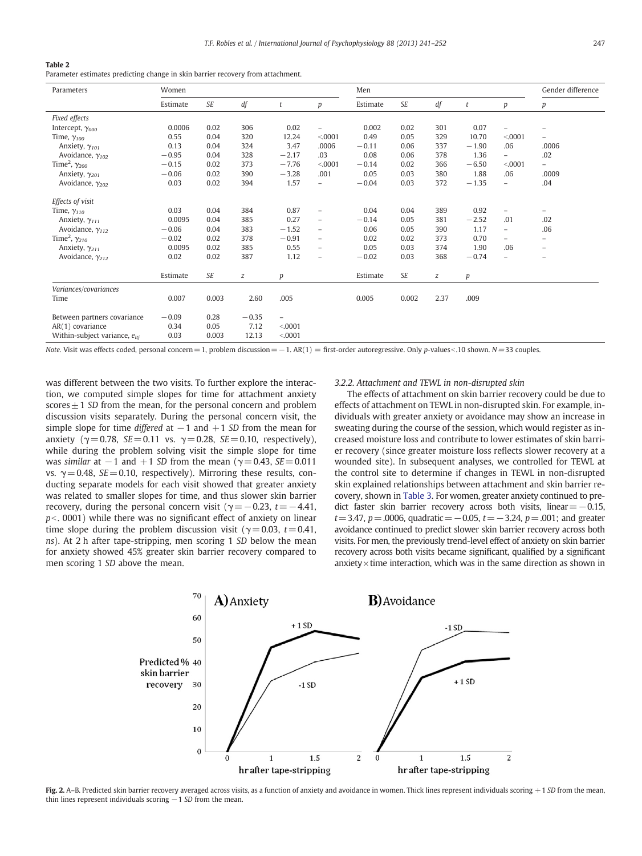#### <span id="page-6-0"></span>Table 2

Parameter estimates predicting change in skin barrier recovery from attachment.

| Parameters                                | Women    | Men   | Gender difference |                          |                          |          |       |                  |         |                          |                          |
|-------------------------------------------|----------|-------|-------------------|--------------------------|--------------------------|----------|-------|------------------|---------|--------------------------|--------------------------|
|                                           | Estimate | SE    | df                | t                        | p                        | Estimate | SE    | df               | t       | p                        | p                        |
| Fixed effects                             |          |       |                   |                          |                          |          |       |                  |         |                          |                          |
| Intercept, $\gamma_{000}$                 | 0.0006   | 0.02  | 306               | 0.02                     | $\qquad \qquad -$        | 0.002    | 0.02  | 301              | 0.07    | $\overline{a}$           | $\qquad \qquad -$        |
| Time, $\gamma_{100}$                      | 0.55     | 0.04  | 320               | 12.24                    | < 0001                   | 0.49     | 0.05  | 329              | 10.70   | < 0001                   | $\qquad \qquad -$        |
| Anxiety, $\gamma_{101}$                   | 0.13     | 0.04  | 324               | 3.47                     | .0006                    | $-0.11$  | 0.06  | 337              | $-1.90$ | .06                      | .0006                    |
| Avoidance, $\gamma_{102}$                 | $-0.95$  | 0.04  | 328               | $-2.17$                  | .03                      | 0.08     | 0.06  | 378              | 1.36    | $\qquad \qquad -$        | .02                      |
| Time <sup>2</sup> , $\gamma_{200}$        | $-0.15$  | 0.02  | 373               | $-7.76$                  | < 0001                   | $-0.14$  | 0.02  | 366              | $-6.50$ | < 0001                   | $\qquad \qquad -$        |
| Anxiety, $\gamma_{201}$                   | $-0.06$  | 0.02  | 390               | $-3.28$                  | .001                     | 0.05     | 0.03  | 380              | 1.88    | .06                      | .0009                    |
| Avoidance, $\gamma_{202}$                 | 0.03     | 0.02  | 394               | 1.57                     | $\overline{a}$           | $-0.04$  | 0.03  | 372              | $-1.35$ | $\overline{\phantom{m}}$ | .04                      |
| Effects of visit                          |          |       |                   |                          |                          |          |       |                  |         |                          |                          |
| Time, $\gamma_{110}$                      | 0.03     | 0.04  | 384               | 0.87                     | $\qquad \qquad -$        | 0.04     | 0.04  | 389              | 0.92    | $\overline{\phantom{a}}$ | $\qquad \qquad -$        |
| Anxiety, $\gamma_{111}$                   | 0.0095   | 0.04  | 385               | 0.27                     | $\qquad \qquad -$        | $-0.14$  | 0.05  | 381              | $-2.52$ | .01                      | .02                      |
| Avoidance, $\gamma_{112}$                 | $-0.06$  | 0.04  | 383               | $-1.52$                  | $\qquad \qquad -$        | 0.06     | 0.05  | 390              | 1.17    | $\overline{\phantom{0}}$ | .06                      |
| Time <sup>2</sup> , $\gamma_{210}$        | $-0.02$  | 0.02  | 378               | $-0.91$                  | $\overline{\phantom{a}}$ | 0.02     | 0.02  | 373              | 0.70    | $\overline{\phantom{0}}$ | $\overline{a}$           |
| Anxiety, $\gamma_{211}$                   | 0.0095   | 0.02  | 385               | 0.55                     | $\qquad \qquad -$        | 0.05     | 0.03  | 374              | 1.90    | .06                      | $\qquad \qquad -$        |
| Avoidance, $\gamma_{212}$                 | 0.02     | 0.02  | 387               | 1.12                     | $\qquad \qquad -$        | $-0.02$  | 0.03  | 368              | $-0.74$ | $\overline{\phantom{0}}$ | $\overline{\phantom{m}}$ |
|                                           | Estimate | SE    | $\boldsymbol{z}$  | p                        |                          | Estimate | SE    | $\boldsymbol{z}$ | p       |                          |                          |
| Variances/covariances                     |          |       |                   |                          |                          |          |       |                  |         |                          |                          |
| Time                                      | 0.007    | 0.003 | 2.60              | .005                     |                          | 0.005    | 0.002 | 2.37             | .009    |                          |                          |
| Between partners covariance               | $-0.09$  | 0.28  | $-0.35$           | $\overline{\phantom{a}}$ |                          |          |       |                  |         |                          |                          |
| $AR(1)$ covariance                        | 0.34     | 0.05  | 7.12              | < 0001                   |                          |          |       |                  |         |                          |                          |
| Within-subject variance, e <sub>iti</sub> | 0.03     | 0.003 | 12.13             | < 0001                   |                          |          |       |                  |         |                          |                          |

Note. Visit was effects coded, personal concern = 1, problem discussion = −1. AR(1) = first-order autoregressive. Only p-values<.10 shown. N=33 couples.

was different between the two visits. To further explore the interaction, we computed simple slopes for time for attachment anxiety scores  $\pm$  1 SD from the mean, for the personal concern and problem discussion visits separately. During the personal concern visit, the simple slope for time differed at  $-1$  and  $+1$  SD from the mean for anxiety ( $\gamma = 0.78$ ,  $SE = 0.11$  vs.  $\gamma = 0.28$ ,  $SE = 0.10$ , respectively), while during the problem solving visit the simple slope for time was similar at  $-1$  and  $+1$  SD from the mean ( $\gamma = 0.43$ , SE = 0.011 vs.  $\gamma = 0.48$ , SE = 0.10, respectively). Mirroring these results, conducting separate models for each visit showed that greater anxiety was related to smaller slopes for time, and thus slower skin barrier recovery, during the personal concern visit ( $\gamma = -0.23$ ,  $t = -4.41$ ,  $p<$ . 0001) while there was no significant effect of anxiety on linear time slope during the problem discussion visit ( $\gamma = 0.03$ ,  $t = 0.41$ , ns). At 2 h after tape-stripping, men scoring 1 SD below the mean for anxiety showed 45% greater skin barrier recovery compared to men scoring 1 SD above the mean.

3.2.2. Attachment and TEWL in non-disrupted skin

The effects of attachment on skin barrier recovery could be due to effects of attachment on TEWL in non-disrupted skin. For example, individuals with greater anxiety or avoidance may show an increase in sweating during the course of the session, which would register as increased moisture loss and contribute to lower estimates of skin barrier recovery (since greater moisture loss reflects slower recovery at a wounded site). In subsequent analyses, we controlled for TEWL at the control site to determine if changes in TEWL in non-disrupted skin explained relationships between attachment and skin barrier recovery, shown in [Table 3](#page-8-0). For women, greater anxiety continued to predict faster skin barrier recovery across both visits, linear =  $-0.15$ ,  $t=3.47$ ,  $p=.0006$ , quadratic = −0.05,  $t=-3.24$ ,  $p=.001$ ; and greater avoidance continued to predict slower skin barrier recovery across both visits. For men, the previously trend-level effect of anxiety on skin barrier recovery across both visits became significant, qualified by a significant anxiety $\times$ time interaction, which was in the same direction as shown in



Fig. 2. A-B. Predicted skin barrier recovery averaged across visits, as a function of anxiety and avoidance in women. Thick lines represent individuals scoring + 1 SD from the mean, thin lines represent individuals scoring  $-1$  SD from the mean.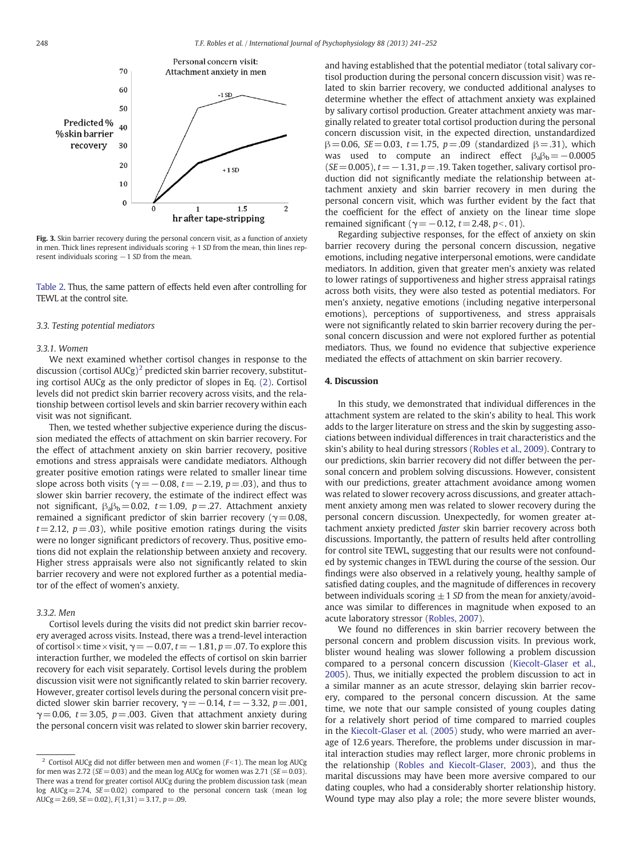

Fig. 3. Skin barrier recovery during the personal concern visit, as a function of anxiety in men. Thick lines represent individuals scoring  $+1$  SD from the mean, thin lines represent individuals scoring  $-1$  SD from the mean.

[Table 2](#page-6-0). Thus, the same pattern of effects held even after controlling for TEWL at the control site.

# 3.3. Testing potential mediators

#### 3.3.1. Women

We next examined whether cortisol changes in response to the discussion (cortisol  $AUCg$ )<sup>2</sup> predicted skin barrier recovery, substituting cortisol AUCg as the only predictor of slopes in Eq. [\(2\)](#page-4-0). Cortisol levels did not predict skin barrier recovery across visits, and the relationship between cortisol levels and skin barrier recovery within each visit was not significant.

Then, we tested whether subjective experience during the discussion mediated the effects of attachment on skin barrier recovery. For the effect of attachment anxiety on skin barrier recovery, positive emotions and stress appraisals were candidate mediators. Although greater positive emotion ratings were related to smaller linear time slope across both visits ( $\gamma = -0.08$ ,  $t = -2.19$ ,  $p = .03$ ), and thus to slower skin barrier recovery, the estimate of the indirect effect was not significant,  $\beta_a \beta_b = 0.02$ ,  $t = 1.09$ ,  $p = .27$ . Attachment anxiety remained a significant predictor of skin barrier recovery ( $\gamma = 0.08$ ,  $t= 2.12$ ,  $p=.03$ ), while positive emotion ratings during the visits were no longer significant predictors of recovery. Thus, positive emotions did not explain the relationship between anxiety and recovery. Higher stress appraisals were also not significantly related to skin barrier recovery and were not explored further as a potential mediator of the effect of women's anxiety.

#### 3.3.2. Men

Cortisol levels during the visits did not predict skin barrier recovery averaged across visits. Instead, there was a trend-level interaction of cortisol×time×visit,  $\gamma = -0.07$ ,  $t = -1.81$ ,  $p = .07$ . To explore this interaction further, we modeled the effects of cortisol on skin barrier recovery for each visit separately. Cortisol levels during the problem discussion visit were not significantly related to skin barrier recovery. However, greater cortisol levels during the personal concern visit predicted slower skin barrier recovery,  $\gamma = -0.14$ ,  $t = -3.32$ ,  $p = .001$ ,  $\gamma = 0.06$ ,  $t = 3.05$ ,  $p = .003$ . Given that attachment anxiety during the personal concern visit was related to slower skin barrier recovery,

and having established that the potential mediator (total salivary cortisol production during the personal concern discussion visit) was related to skin barrier recovery, we conducted additional analyses to determine whether the effect of attachment anxiety was explained by salivary cortisol production. Greater attachment anxiety was marginally related to greater total cortisol production during the personal concern discussion visit, in the expected direction, unstandardized  $β= 0.06$ ,  $SE = 0.03$ ,  $t = 1.75$ ,  $p = .09$  (standardized  $β = .31$ ), which was used to compute an indirect effect  $\beta_a \beta_b = -0.0005$  $(SE = 0.005)$ ,  $t = -1.31$ ,  $p = .19$ . Taken together, salivary cortisol production did not significantly mediate the relationship between attachment anxiety and skin barrier recovery in men during the personal concern visit, which was further evident by the fact that the coefficient for the effect of anxiety on the linear time slope remained significant ( $γ = −0.12$ ,  $t = 2.48$ ,  $p < 01$ ).

Regarding subjective responses, for the effect of anxiety on skin barrier recovery during the personal concern discussion, negative emotions, including negative interpersonal emotions, were candidate mediators. In addition, given that greater men's anxiety was related to lower ratings of supportiveness and higher stress appraisal ratings across both visits, they were also tested as potential mediators. For men's anxiety, negative emotions (including negative interpersonal emotions), perceptions of supportiveness, and stress appraisals were not significantly related to skin barrier recovery during the personal concern discussion and were not explored further as potential mediators. Thus, we found no evidence that subjective experience mediated the effects of attachment on skin barrier recovery.

#### 4. Discussion

In this study, we demonstrated that individual differences in the attachment system are related to the skin's ability to heal. This work adds to the larger literature on stress and the skin by suggesting associations between individual differences in trait characteristics and the skin's ability to heal during stressors [\(Robles et al., 2009](#page-11-0)). Contrary to our predictions, skin barrier recovery did not differ between the personal concern and problem solving discussions. However, consistent with our predictions, greater attachment avoidance among women was related to slower recovery across discussions, and greater attachment anxiety among men was related to slower recovery during the personal concern discussion. Unexpectedly, for women greater attachment anxiety predicted faster skin barrier recovery across both discussions. Importantly, the pattern of results held after controlling for control site TEWL, suggesting that our results were not confounded by systemic changes in TEWL during the course of the session. Our findings were also observed in a relatively young, healthy sample of satisfied dating couples, and the magnitude of differences in recovery between individuals scoring  $\pm$  1 SD from the mean for anxiety/avoidance was similar to differences in magnitude when exposed to an acute laboratory stressor ([Robles, 2007](#page-11-0)).

We found no differences in skin barrier recovery between the personal concern and problem discussion visits. In previous work, blister wound healing was slower following a problem discussion compared to a personal concern discussion [\(Kiecolt-Glaser et al.,](#page-10-0) [2005\)](#page-10-0). Thus, we initially expected the problem discussion to act in a similar manner as an acute stressor, delaying skin barrier recovery, compared to the personal concern discussion. At the same time, we note that our sample consisted of young couples dating for a relatively short period of time compared to married couples in the [Kiecolt-Glaser et al. \(2005\)](#page-10-0) study, who were married an average of 12.6 years. Therefore, the problems under discussion in marital interaction studies may reflect larger, more chronic problems in the relationship ([Robles and Kiecolt-Glaser, 2003](#page-11-0)), and thus the marital discussions may have been more aversive compared to our dating couples, who had a considerably shorter relationship history. Wound type may also play a role; the more severe blister wounds,

<sup>&</sup>lt;sup>2</sup> Cortisol AUCg did not differ between men and women ( $F<1$ ). The mean log AUCg for men was 2.72 ( $SE = 0.03$ ) and the mean log AUCg for women was 2.71 ( $SE = 0.03$ ). There was a trend for greater cortisol AUCg during the problem discussion task (mean log  $AUCg = 2.74$ ,  $SE = 0.02$ ) compared to the personal concern task (mean log AUCg = 2.69, SE = 0.02),  $F(1,31) = 3.17$ ,  $p = .09$ .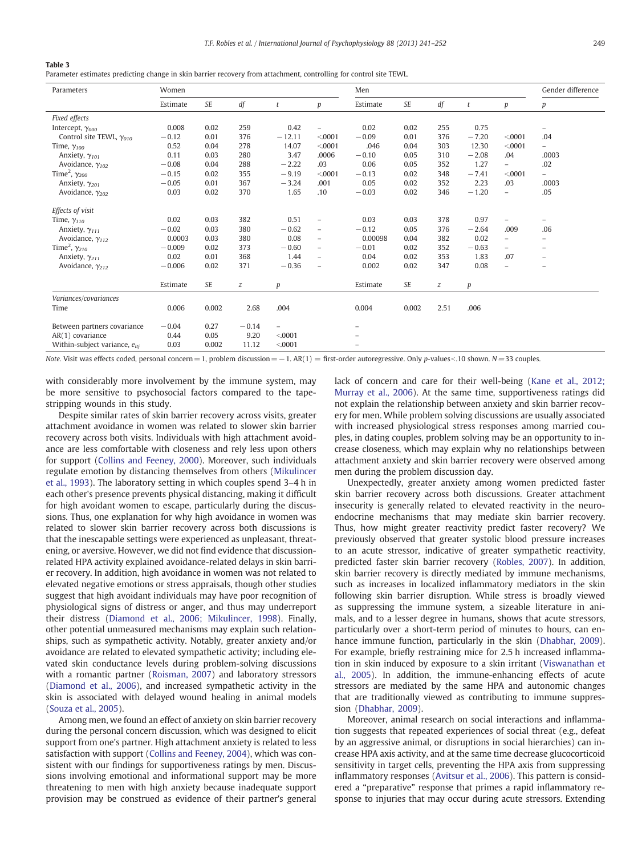#### <span id="page-8-0"></span>Table 3

Parameter estimates predicting change in skin barrier recovery from attachment, controlling for control site TEWL.

| Parameters                                | Women    | Men   | Gender difference |                          |                          |          |       |                  |         |                          |                          |
|-------------------------------------------|----------|-------|-------------------|--------------------------|--------------------------|----------|-------|------------------|---------|--------------------------|--------------------------|
|                                           | Estimate | SE    | df                | t                        | p                        | Estimate | SE    | df               | t       | p                        | p                        |
| Fixed effects                             |          |       |                   |                          |                          |          |       |                  |         |                          |                          |
| Intercept, $\gamma_{000}$                 | 0.008    | 0.02  | 259               | 0.42                     | $\overline{\phantom{a}}$ | 0.02     | 0.02  | 255              | 0.75    |                          | $\qquad \qquad -$        |
| Control site TEWL, Y010                   | $-0.12$  | 0.01  | 376               | $-12.11$                 | < 0001                   | $-0.09$  | 0.01  | 376              | $-7.20$ | < 0001                   | .04                      |
| Time, $\gamma_{100}$                      | 0.52     | 0.04  | 278               | 14.07                    | < 0001                   | .046     | 0.04  | 303              | 12.30   | < 0001                   | $\overline{\phantom{0}}$ |
| Anxiety, γ <sub>101</sub>                 | 0.11     | 0.03  | 280               | 3.47                     | .0006                    | $-0.10$  | 0.05  | 310              | $-2.08$ | .04                      | .0003                    |
| Avoidance, $\gamma_{102}$                 | $-0.08$  | 0.04  | 288               | $-2.22$                  | .03                      | 0.06     | 0.05  | 352              | 1.27    | $\qquad \qquad -$        | .02                      |
| Time <sup>2</sup> , $\gamma_{200}$        | $-0.15$  | 0.02  | 355               | $-9.19$                  | < 0001                   | $-0.13$  | 0.02  | 348              | $-7.41$ | < 0001                   | $\overline{\phantom{0}}$ |
| Anxiety, γ <sub>201</sub>                 | $-0.05$  | 0.01  | 367               | $-3.24$                  | .001                     | 0.05     | 0.02  | 352              | 2.23    | .03                      | .0003                    |
| Avoidance, $\gamma_{202}$                 | 0.03     | 0.02  | 370               | 1.65                     | .10                      | $-0.03$  | 0.02  | 346              | $-1.20$ | $\overline{\phantom{0}}$ | .05                      |
| Effects of visit                          |          |       |                   |                          |                          |          |       |                  |         |                          |                          |
| Time, $\gamma_{110}$                      | 0.02     | 0.03  | 382               | 0.51                     | $\overline{\phantom{m}}$ | 0.03     | 0.03  | 378              | 0.97    | $\overline{\phantom{0}}$ |                          |
| Anxiety, $\gamma_{111}$                   | $-0.02$  | 0.03  | 380               | $-0.62$                  | $\overline{\phantom{a}}$ | $-0.12$  | 0.05  | 376              | $-2.64$ | .009                     | .06                      |
| Avoidance, $\gamma_{112}$                 | 0.0003   | 0.03  | 380               | 0.08                     | $\overline{\phantom{m}}$ | 0.00098  | 0.04  | 382              | 0.02    | L.                       | $\overline{\phantom{0}}$ |
| Time <sup>2</sup> , $\gamma_{210}$        | $-0.009$ | 0.02  | 373               | $-0.60$                  | $\overline{\phantom{a}}$ | $-0.01$  | 0.02  | 352              | $-0.63$ | $\qquad \qquad -$        | $\overline{\phantom{0}}$ |
| Anxiety, $\gamma_{211}$                   | 0.02     | 0.01  | 368               | 1.44                     | $\overline{\phantom{m}}$ | 0.04     | 0.02  | 353              | 1.83    | .07                      | $\overline{\phantom{0}}$ |
| Avoidance, $\gamma_{212}$                 | $-0.006$ | 0.02  | 371               | $-0.36$                  | $\overline{\phantom{a}}$ | 0.002    | 0.02  | 347              | 0.08    | $\overline{\phantom{0}}$ | $\overline{\phantom{a}}$ |
|                                           | Estimate | SE    | z                 | p                        |                          | Estimate | SE    | $\boldsymbol{z}$ | p       |                          |                          |
| Variances/covariances                     |          |       |                   |                          |                          |          |       |                  |         |                          |                          |
| Time                                      | 0.006    | 0.002 | 2.68              | .004                     |                          | 0.004    | 0.002 | 2.51             | .006    |                          |                          |
| Between partners covariance               | $-0.04$  | 0.27  | $-0.14$           | $\overline{\phantom{a}}$ |                          | -        |       |                  |         |                          |                          |
| $AR(1)$ covariance                        | 0.44     | 0.05  | 9.20              | < 0001                   |                          | -        |       |                  |         |                          |                          |
| Within-subject variance, e <sub>iti</sub> | 0.03     | 0.002 | 11.12             | < 0001                   |                          | -        |       |                  |         |                          |                          |

Note. Visit was effects coded, personal concern= 1, problem discussion=  $-1$ . AR(1) = first-order autoregressive. Only p-values<.10 shown. N=33 couples.

with considerably more involvement by the immune system, may be more sensitive to psychosocial factors compared to the tapestripping wounds in this study.

Despite similar rates of skin barrier recovery across visits, greater attachment avoidance in women was related to slower skin barrier recovery across both visits. Individuals with high attachment avoidance are less comfortable with closeness and rely less upon others for support [\(Collins and Feeney, 2000](#page-10-0)). Moreover, such individuals regulate emotion by distancing themselves from others [\(Mikulincer](#page-10-0) [et al., 1993\)](#page-10-0). The laboratory setting in which couples spend 3–4 h in each other's presence prevents physical distancing, making it difficult for high avoidant women to escape, particularly during the discussions. Thus, one explanation for why high avoidance in women was related to slower skin barrier recovery across both discussions is that the inescapable settings were experienced as unpleasant, threatening, or aversive. However, we did not find evidence that discussionrelated HPA activity explained avoidance-related delays in skin barrier recovery. In addition, high avoidance in women was not related to elevated negative emotions or stress appraisals, though other studies suggest that high avoidant individuals may have poor recognition of physiological signs of distress or anger, and thus may underreport their distress [\(Diamond et al., 2006; Mikulincer, 1998](#page-10-0)). Finally, other potential unmeasured mechanisms may explain such relationships, such as sympathetic activity. Notably, greater anxiety and/or avoidance are related to elevated sympathetic activity; including elevated skin conductance levels during problem-solving discussions with a romantic partner [\(Roisman, 2007](#page-11-0)) and laboratory stressors [\(Diamond et al., 2006](#page-10-0)), and increased sympathetic activity in the skin is associated with delayed wound healing in animal models [\(Souza et al., 2005\)](#page-11-0).

Among men, we found an effect of anxiety on skin barrier recovery during the personal concern discussion, which was designed to elicit support from one's partner. High attachment anxiety is related to less satisfaction with support ([Collins and Feeney, 2004\)](#page-10-0), which was consistent with our findings for supportiveness ratings by men. Discussions involving emotional and informational support may be more threatening to men with high anxiety because inadequate support provision may be construed as evidence of their partner's general

lack of concern and care for their well-being ([Kane et al., 2012;](#page-10-0) [Murray et al., 2006](#page-10-0)). At the same time, supportiveness ratings did not explain the relationship between anxiety and skin barrier recovery for men. While problem solving discussions are usually associated with increased physiological stress responses among married couples, in dating couples, problem solving may be an opportunity to increase closeness, which may explain why no relationships between attachment anxiety and skin barrier recovery were observed among men during the problem discussion day.

Unexpectedly, greater anxiety among women predicted faster skin barrier recovery across both discussions. Greater attachment insecurity is generally related to elevated reactivity in the neuroendocrine mechanisms that may mediate skin barrier recovery. Thus, how might greater reactivity predict faster recovery? We previously observed that greater systolic blood pressure increases to an acute stressor, indicative of greater sympathetic reactivity, predicted faster skin barrier recovery ([Robles, 2007\)](#page-11-0). In addition, skin barrier recovery is directly mediated by immune mechanisms, such as increases in localized inflammatory mediators in the skin following skin barrier disruption. While stress is broadly viewed as suppressing the immune system, a sizeable literature in animals, and to a lesser degree in humans, shows that acute stressors, particularly over a short-term period of minutes to hours, can enhance immune function, particularly in the skin [\(Dhabhar, 2009](#page-10-0)). For example, briefly restraining mice for 2.5 h increased inflammation in skin induced by exposure to a skin irritant [\(Viswanathan et](#page-11-0) [al., 2005](#page-11-0)). In addition, the immune-enhancing effects of acute stressors are mediated by the same HPA and autonomic changes that are traditionally viewed as contributing to immune suppression ([Dhabhar,](#page-10-0) 2009).

Moreover, animal research on social interactions and inflammation suggests that repeated experiences of social threat (e.g., defeat by an aggressive animal, or disruptions in social hierarchies) can increase HPA axis activity, and at the same time decrease glucocorticoid sensitivity in target cells, preventing the HPA axis from suppressing inflammatory responses [\(Avitsur et al., 2006\)](#page-10-0). This pattern is considered a "preparative" response that primes a rapid inflammatory response to injuries that may occur during acute stressors. Extending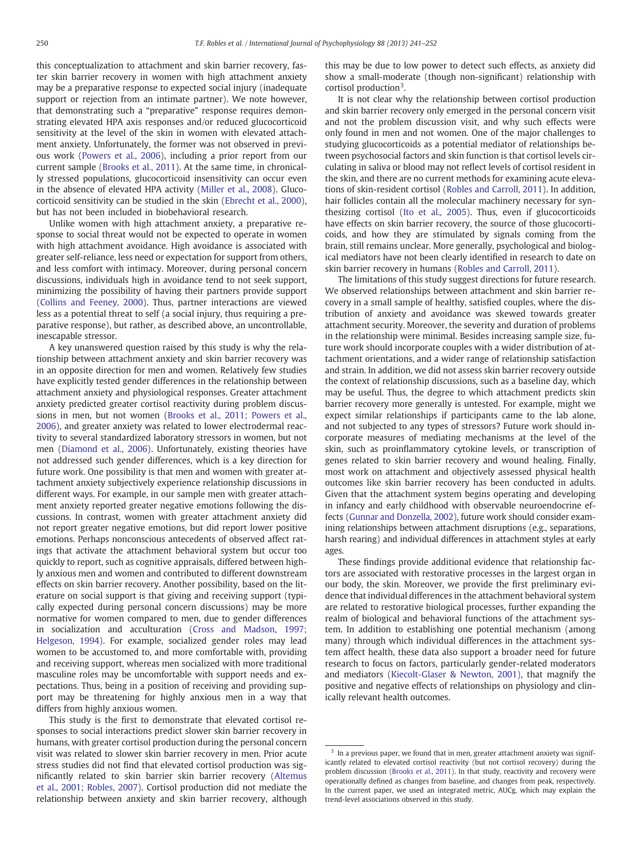this conceptualization to attachment and skin barrier recovery, faster skin barrier recovery in women with high attachment anxiety may be a preparative response to expected social injury (inadequate support or rejection from an intimate partner). We note however, that demonstrating such a "preparative" response requires demonstrating elevated HPA axis responses and/or reduced glucocorticoid sensitivity at the level of the skin in women with elevated attachment anxiety. Unfortunately, the former was not observed in previous work [\(Powers et al., 2006\)](#page-10-0), including a prior report from our current sample [\(Brooks et al., 2011\)](#page-10-0). At the same time, in chronically stressed populations, glucocorticoid insensitivity can occur even in the absence of elevated HPA activity [\(Miller et al., 2008](#page-10-0)). Glucocorticoid sensitivity can be studied in the skin ([Ebrecht et al., 2000](#page-10-0)), but has not been included in biobehavioral research.

Unlike women with high attachment anxiety, a preparative response to social threat would not be expected to operate in women with high attachment avoidance. High avoidance is associated with greater self-reliance, less need or expectation for support from others, and less comfort with intimacy. Moreover, during personal concern discussions, individuals high in avoidance tend to not seek support, minimizing the possibility of having their partners provide support [\(Collins and Feeney, 2000\)](#page-10-0). Thus, partner interactions are viewed less as a potential threat to self (a social injury, thus requiring a preparative response), but rather, as described above, an uncontrollable, inescapable stressor.

A key unanswered question raised by this study is why the relationship between attachment anxiety and skin barrier recovery was in an opposite direction for men and women. Relatively few studies have explicitly tested gender differences in the relationship between attachment anxiety and physiological responses. Greater attachment anxiety predicted greater cortisol reactivity during problem discussions in men, but not women ([Brooks et al., 2011; Powers et al.,](#page-10-0) [2006\)](#page-10-0), and greater anxiety was related to lower electrodermal reactivity to several standardized laboratory stressors in women, but not men [\(Diamond et al., 2006\)](#page-10-0). Unfortunately, existing theories have not addressed such gender differences, which is a key direction for future work. One possibility is that men and women with greater attachment anxiety subjectively experience relationship discussions in different ways. For example, in our sample men with greater attachment anxiety reported greater negative emotions following the discussions. In contrast, women with greater attachment anxiety did not report greater negative emotions, but did report lower positive emotions. Perhaps nonconscious antecedents of observed affect ratings that activate the attachment behavioral system but occur too quickly to report, such as cognitive appraisals, differed between highly anxious men and women and contributed to different downstream effects on skin barrier recovery. Another possibility, based on the literature on social support is that giving and receiving support (typically expected during personal concern discussions) may be more normative for women compared to men, due to gender differences in socialization and acculturation [\(Cross and Madson, 1997;](#page-10-0) [Helgeson, 1994](#page-10-0)). For example, socialized gender roles may lead women to be accustomed to, and more comfortable with, providing and receiving support, whereas men socialized with more traditional masculine roles may be uncomfortable with support needs and expectations. Thus, being in a position of receiving and providing support may be threatening for highly anxious men in a way that differs from highly anxious women.

This study is the first to demonstrate that elevated cortisol responses to social interactions predict slower skin barrier recovery in humans, with greater cortisol production during the personal concern visit was related to slower skin barrier recovery in men. Prior acute stress studies did not find that elevated cortisol production was significantly related to skin barrier skin barrier recovery ([Altemus](#page-10-0) [et al., 2001; Robles, 2007\)](#page-10-0). Cortisol production did not mediate the relationship between anxiety and skin barrier recovery, although this may be due to low power to detect such effects, as anxiety did show a small-moderate (though non-significant) relationship with cortisol production<sup>3</sup>.

It is not clear why the relationship between cortisol production and skin barrier recovery only emerged in the personal concern visit and not the problem discussion visit, and why such effects were only found in men and not women. One of the major challenges to studying glucocorticoids as a potential mediator of relationships between psychosocial factors and skin function is that cortisol levels circulating in saliva or blood may not reflect levels of cortisol resident in the skin, and there are no current methods for examining acute elevations of skin-resident cortisol ([Robles and Carroll, 2011](#page-11-0)). In addition, hair follicles contain all the molecular machinery necessary for synthesizing cortisol [\(Ito et al., 2005\)](#page-10-0). Thus, even if glucocorticoids have effects on skin barrier recovery, the source of those glucocorticoids, and how they are stimulated by signals coming from the brain, still remains unclear. More generally, psychological and biological mediators have not been clearly identified in research to date on skin barrier recovery in humans ([Robles and Carroll, 2011\)](#page-11-0).

The limitations of this study suggest directions for future research. We observed relationships between attachment and skin barrier recovery in a small sample of healthy, satisfied couples, where the distribution of anxiety and avoidance was skewed towards greater attachment security. Moreover, the severity and duration of problems in the relationship were minimal. Besides increasing sample size, future work should incorporate couples with a wider distribution of attachment orientations, and a wider range of relationship satisfaction and strain. In addition, we did not assess skin barrier recovery outside the context of relationship discussions, such as a baseline day, which may be useful. Thus, the degree to which attachment predicts skin barrier recovery more generally is untested. For example, might we expect similar relationships if participants came to the lab alone, and not subjected to any types of stressors? Future work should incorporate measures of mediating mechanisms at the level of the skin, such as proinflammatory cytokine levels, or transcription of genes related to skin barrier recovery and wound healing. Finally, most work on attachment and objectively assessed physical health outcomes like skin barrier recovery has been conducted in adults. Given that the attachment system begins operating and developing in infancy and early childhood with observable neuroendocrine effects [\(Gunnar and Donzella, 2002\)](#page-10-0), future work should consider examining relationships between attachment disruptions (e.g., separations, harsh rearing) and individual differences in attachment styles at early ages.

These findings provide additional evidence that relationship factors are associated with restorative processes in the largest organ in our body, the skin. Moreover, we provide the first preliminary evidence that individual differences in the attachment behavioral system are related to restorative biological processes, further expanding the realm of biological and behavioral functions of the attachment system. In addition to establishing one potential mechanism (among many) through which individual differences in the attachment system affect health, these data also support a broader need for future research to focus on factors, particularly gender-related moderators and mediators [\(Kiecolt-Glaser & Newton, 2001\)](#page-10-0), that magnify the positive and negative effects of relationships on physiology and clinically relevant health outcomes.

<sup>&</sup>lt;sup>3</sup> In a previous paper, we found that in men, greater attachment anxiety was significantly related to elevated cortisol reactivity (but not cortisol recovery) during the problem discussion ([Brooks et al., 2011\)](#page-10-0). In that study, reactivity and recovery were operationally defined as changes from baseline, and changes from peak, respectively. In the current paper, we used an integrated metric, AUCg, which may explain the trend-level associations observed in this study.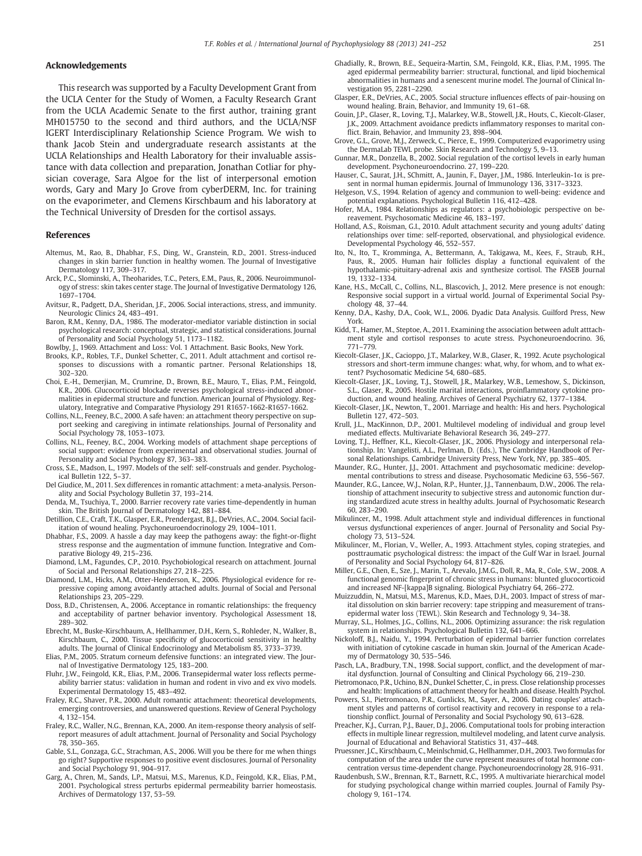#### <span id="page-10-0"></span>Acknowledgements

This research was supported by a Faculty Development Grant from the UCLA Center for the Study of Women, a Faculty Research Grant from the UCLA Academic Senate to the first author, training grant MH015750 to the second and third authors, and the UCLA/NSF IGERT Interdisciplinary Relationship Science Program. We wish to thank Jacob Stein and undergraduate research assistants at the UCLA Relationships and Health Laboratory for their invaluable assistance with data collection and preparation, Jonathan Cotliar for physician coverage, Sara Algoe for the list of interpersonal emotion words, Gary and Mary Jo Grove from cyberDERM, Inc. for training on the evaporimeter, and Clemens Kirschbaum and his laboratory at the Technical University of Dresden for the cortisol assays.

#### References

- Altemus, M., Rao, B., Dhabhar, F.S., Ding, W., Granstein, R.D., 2001. Stress-induced changes in skin barrier function in healthy women. The Journal of Investigative Dermatology 117, 309–317.
- Arck, P.C., Slominski, A., Theoharides, T.C., Peters, E.M., Paus, R., 2006. Neuroimmunology of stress: skin takes center stage. The Journal of Investigative Dermatology 126, 1697–1704.
- Avitsur, R., Padgett, D.A., Sheridan, J.F., 2006. Social interactions, stress, and immunity. Neurologic Clinics 24, 483–491.
- Baron, R.M., Kenny, D.A., 1986. The moderator-mediator variable distinction in social psychological research: conceptual, strategic, and statistical considerations. Journal of Personality and Social Psychology 51, 1173–1182.
- Bowlby, J., 1969. Attachment and Loss: Vol. 1 Attachment. Basic Books, New York.
- Brooks, K.P., Robles, T.F., Dunkel Schetter, C., 2011. Adult attachment and cortisol responses to discussions with a romantic partner. Personal Relationships 18, 302–320.
- Choi, E.-H., Demerjian, M., Crumrine, D., Brown, B.E., Mauro, T., Elias, P.M., Feingold, K.R., 2006. Glucocorticoid blockade reverses psychological stress-induced abnormalities in epidermal structure and function. American Journal of Physiology. Regulatory, Integrative and Comparative Physiology 291 R1657-1662-R1657-1662.
- Collins, N.L., Feeney, B.C., 2000. A safe haven: an attachment theory perspective on support seeking and caregiving in intimate relationships. Journal of Personality and Social Psychology 78, 1053–1073.
- Collins, N.L., Feeney, B.C., 2004. Working models of attachment shape perceptions of social support: evidence from experimental and observational studies. Journal of Personality and Social Psychology 87, 363–383.
- Cross, S.E., Madson, L., 1997. Models of the self: self-construals and gender. Psychological Bulletin 122, 5–37.
- Del Giudice, M., 2011. Sex differences in romantic attachment: a meta-analysis. Personality and Social Psychology Bulletin 37, 193–214.
- Denda, M., Tsuchiya, T., 2000. Barrier recovery rate varies time-dependently in human skin. The British Journal of Dermatology 142, 881–884.
- Detillion, C.E., Craft, T.K., Glasper, E.R., Prendergast, B.J., DeVries, A.C., 2004. Social facilitation of wound healing. Psychoneuroendocrinology 29, 1004–1011.
- Dhabhar, F.S., 2009. A hassle a day may keep the pathogens away: the fight-or-flight stress response and the augmentation of immune function. Integrative and Comparative Biology 49, 215–236.
- Diamond, L.M., Fagundes, C.P., 2010. Psychobiological research on attachment. Journal of Social and Personal Relationships 27, 218–225.
- Diamond, L.M., Hicks, A.M., Otter-Henderson, K., 2006. Physiological evidence for repressive coping among avoidantly attached adults. Journal of Social and Personal Relationships 23, 205–229.
- Doss, B.D., Christensen, A., 2006. Acceptance in romantic relationships: the frequency and acceptability of partner behavior inventory. Psychological Assessment 18, 289–302.
- Ebrecht, M., Buske-Kirschbaum, A., Hellhammer, D.H., Kern, S., Rohleder, N., Walker, B., Kirschbaum, C., 2000. Tissue specificity of glucocorticoid sensitivity in healthy adults. The Journal of Clinical Endocrinology and Metabolism 85, 3733–3739.
- Elias, P.M., 2005. Stratum corneum defensive functions: an integrated view. The Jour-
- nal of Investigative Dermatology 125, 183–200. Fluhr, J.W., Feingold, K.R., Elias, P.M., 2006. Transepidermal water loss reflects permeability barrier status: validation in human and rodent in vivo and ex vivo models. Experimental Dermatology 15, 483–492.
- Fraley, R.C., Shaver, P.R., 2000. Adult romantic attachment: theoretical developments, emerging controversies, and unanswered questions. Review of General Psychology 4, 132–154.
- Fraley, R.C., Waller, N.G., Brennan, K.A., 2000. An item-response theory analysis of selfreport measures of adult attachment. Journal of Personality and Social Psychology 78, 350–365.
- Gable, S.L., Gonzaga, G.C., Strachman, A.S., 2006. Will you be there for me when things go right? Supportive responses to positive event disclosures. Journal of Personality and Social Psychology 91, 904–917.
- Garg, A., Chren, M., Sands, L.P., Matsui, M.S., Marenus, K.D., Feingold, K.R., Elias, P.M., 2001. Psychological stress perturbs epidermal permeability barrier homeostasis. Archives of Dermatology 137, 53–59.
- Ghadially, R., Brown, B.E., Sequeira-Martin, S.M., Feingold, K.R., Elias, P.M., 1995. The aged epidermal permeability barrier: structural, functional, and lipid biochemical abnormalities in humans and a senescent murine model. The Journal of Clinical Investigation 95, 2281–2290.
- Glasper, E.R., DeVries, A.C., 2005. Social structure influences effects of pair-housing on wound healing. Brain, Behavior, and Immunity 19, 61–68.
- Gouin, J.P., Glaser, R., Loving, T.J., Malarkey, W.B., Stowell, J.R., Houts, C., Kiecolt-Glaser, J.K., 2009. Attachment avoidance predicts inflammatory responses to marital conflict. Brain, Behavior, and Immunity 23, 898–904.
- Grove, G.L., Grove, M.J., Zerweck, C., Pierce, E., 1999. Computerized evaporimetry using the DermaLab TEWL probe. Skin Research and Technology 5, 9–13.
- Gunnar, M.R., Donzella, B., 2002. Social regulation of the cortisol levels in early human development. Psychoneuroendocrino. 27, 199–220.
- Hauser, C., Saurat, J.H., SChmitt, A., Jaunin, F., Dayer, J.M., 1986. Interleukin-1α is present in normal human epidermis. Journal of Immunology 136, 3317–3323.
- Helgeson, V.S., 1994. Relation of agency and communion to well-being: evidence and potential explanations. Psychological Bulletin 116, 412–428.
- Hofer, M.A., 1984. Relationships as regulators: a psychobiologic perspective on bereavement. Psychosomatic Medicine 46, 183–197.
- Holland, A.S., Roisman, G.I., 2010. Adult attachment security and young adults' dating relationships over time: self-reported, observational, and physiological evidence. Developmental Psychology 46, 552–557.
- Ito, N., Ito, T., Kromminga, A., Bettermann, A., Takigawa, M., Kees, F., Straub, R.H., Paus, R., 2005. Human hair follicles display a functional equivalent of the hypothalamic-pituitary-adrenal axis and synthesize cortisol. The FASEB Journal 19, 1332–1334.
- Kane, H.S., McCall, C., Collins, N.L., Blascovich, J., 2012. Mere presence is not enough: Responsive social support in a virtual world. Journal of Experimental Social Psychology 48, 37–44.
- Kenny, D.A., Kashy, D.A., Cook, W.L., 2006. Dyadic Data Analysis. Guilford Press, New York.
- Kidd, T., Hamer, M., Steptoe, A., 2011. Examining the association between adult atttachment style and cortisol responses to acute stress. Psychoneuroendocrino. 36, 771–779.
- Kiecolt-Glaser, J.K., Cacioppo, J.T., Malarkey, W.B., Glaser, R., 1992. Acute psychological stressors and short-term immune changes: what, why, for whom, and to what extent? Psychosomatic Medicine 54, 680–685.
- Kiecolt-Glaser, J.K., Loving, T.J., Stowell, J.R., Malarkey, W.B., Lemeshow, S., Dickinson, S.L., Glaser, R., 2005. Hostile marital interactions, proinflammatory cytokine production, and wound healing. Archives of General Psychiatry 62, 1377–1384.
- Kiecolt-Glaser, J.K., Newton, T., 2001. Marriage and health: His and hers. Psychological Bulletin 127, 472–503.
- Krull, J.L., MacKinnon, D.P., 2001. Multilevel modeling of individual and group level mediated effects. Multivariate Behavioral Research 36, 249–277.
- Loving, T.J., Heffner, K.L., Kiecolt-Glaser, J.K., 2006. Physiology and interpersonal relationship. In: Vangelisti, A.L., Perlman, D. (Eds.), The Cambridge Handbook of Personal Relationships. Cambridge University Press, New York, NY, pp. 385–405.
- Maunder, R.G., Hunter, J.J., 2001. Attachment and psychosomatic medicine: developmental contributions to stress and disease. Psychosomatic Medicine 63, 556–567.
- Maunder, R.G., Lancee, W.J., Nolan, R.P., Hunter, J.J., Tannenbaum, D.W., 2006. The relationship of attachment insecurity to subjective stress and autonomic function during standardized acute stress in healthy adults. Journal of Psychosomatic Research 60, 283–290.
- Mikulincer, M., 1998. Adult attachment style and individual differences in functional versus dysfunctional experiences of anger. Journal of Personality and Social Psychology 73, 513–524.
- Mikulincer, M., Florian, V., Weller, A., 1993. Attachment styles, coping strategies, and posttraumatic psychological distress: the impact of the Gulf War in Israel. Journal of Personality and Social Psychology 64, 817–826.
- Miller, G.E., Chen, E., Sze, J., Marin, T., Arevalo, J.M.G., Doll, R., Ma, R., Cole, S.W., 2008. A functional genomic fingerprint of chronic stress in humans: blunted glucocorticoid and increased NF-[kappa]B signaling. Biological Psychiatry 64, 266-272.
- Muizzuddin, N., Matsui, M.S., Marenus, K.D., Maes, D.H., 2003. Impact of stress of marital dissolution on skin barrier recovery: tape stripping and measurement of transepidermal water loss (TEWL). Skin Research and Technology 9, 34–38.
- Murray, S.L., Holmes, J.G., Collins, N.L., 2006. Optimizing assurance: the risk regulation system in relationships. Psychological Bulletin 132, 641–666.
- Nickoloff, B.J., Naidu, Y., 1994. Perturbation of epidermal barrier function correlates with initiation of cytokine cascade in human skin. Journal of the American Academy of Dermatology 30, 535–546.
- Pasch, L.A., Bradbury, T.N., 1998. Social support, conflict, and the development of marital dysfunction. Journal of Consulting and Clinical Psychology 66, 219–230.
- Pietromonaco, P.R., Uchino, B.N., Dunkel Schetter, C., in press. Close relationship processes and health: Implications of attachment theory for health and disease. Health Psychol.
- Powers, S.I., Pietromonaco, P.R., Gunlicks, M., Sayer, A., 2006. Dating couples' attachment styles and patterns of cortisol reactivity and recovery in response to a relationship conflict. Journal of Personality and Social Psychology 90, 613–628.
- Preacher, K.J., Curran, P.J., Bauer, D.J., 2006. Computational tools for probing interaction effects in multiple linear regression, multilevel modeling, and latent curve analysis. Journal of Educational and Behavioral Statistics 31, 437–448.
- Pruessner, J.C., Kirschbaum, C., Meinlschmid, G., Hellhammer, D.H., 2003. Two formulas for computation of the area under the curve represent measures of total hormone concentration versus time-dependent change. Psychoneuroendocrinology 28, 916–931.
- Raudenbush, S.W., Brennan, R.T., Barnett, R.C., 1995. A multivariate hierarchical model for studying psychological change within married couples. Journal of Family Psychology 9, 161–174.